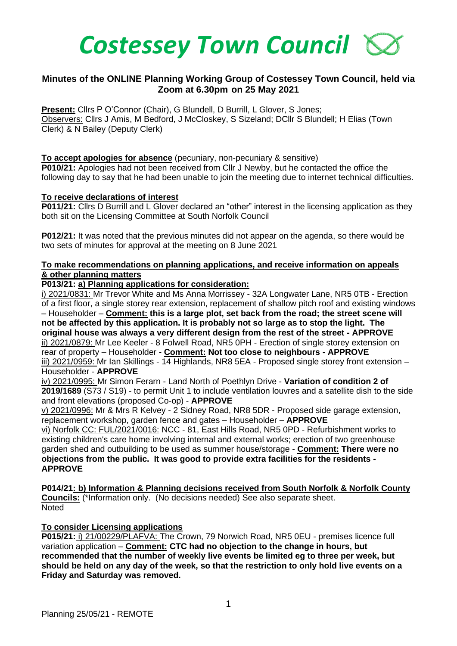

# **Minutes of the ONLINE Planning Working Group of Costessey Town Council, held via Zoom at 6.30pm on 25 May 2021**

**Present:** Cllrs P O'Connor (Chair), G Blundell, D Burrill, L Glover, S Jones; Observers: Cllrs J Amis, M Bedford, J McCloskey, S Sizeland; DCllr S Blundell; H Elias (Town Clerk) & N Bailey (Deputy Clerk)

### **To accept apologies for absence** (pecuniary, non-pecuniary & sensitive)

**P010/21:** Apologies had not been received from Cllr J Newby, but he contacted the office the following day to say that he had been unable to join the meeting due to internet technical difficulties.

#### **To receive declarations of interest**

**P011/21:** Cllrs D Burrill and L Glover declared an "other" interest in the licensing application as they both sit on the Licensing Committee at South Norfolk Council

**P012/21:** It was noted that the previous minutes did not appear on the agenda, so there would be two sets of minutes for approval at the meeting on 8 June 2021

### **To make recommendations on planning applications, and receive information on appeals & other planning matters**

#### **P013/21: a) Planning applications for consideration:**

i) 2021/0831: Mr Trevor White and Ms Anna Morrissey - 32A Longwater Lane, NR5 0TB - Erection of a first floor, a single storey rear extension, replacement of shallow pitch roof and existing windows – Householder – **Comment: this is a large plot, set back from the road; the street scene will not be affected by this application. It is probably not so large as to stop the light. The original house was always a very different design from the rest of the street - APPROVE** ii) 2021/0879: Mr Lee Keeler - 8 Folwell Road, NR5 0PH - Erection of single storey extension on rear of property – Householder - **Comment: Not too close to neighbours - APPROVE** iii) 2021/0959: Mr Ian Skillings - 14 Highlands, NR8 5EA - Proposed single storey front extension – Householder - **APPROVE**

iv) 2021/0995: Mr Simon Ferarn - Land North of Poethlyn Drive - **Variation of condition 2 of 2019/1689** (S73 / S19) - to permit Unit 1 to include ventilation louvres and a satellite dish to the side and front elevations (proposed Co-op) - **APPROVE**

v) 2021/0996: Mr & Mrs R Kelvey - 2 Sidney Road, NR8 5DR - Proposed side garage extension, replacement workshop, garden fence and gates – Householder – **APPROVE**

vi) Norfolk CC: FUL/2021/0016: NCC - 81, East Hills Road, NR5 0PD - Refurbishment works to existing children's care home involving internal and external works; erection of two greenhouse garden shed and outbuilding to be used as summer house/storage - **Comment: There were no objections from the public. It was good to provide extra facilities for the residents - APPROVE**

**P014/21: b) Information & Planning decisions received from South Norfolk & Norfolk County Councils:** (\*Information only. (No decisions needed) See also separate sheet. **Noted** 

### **To consider Licensing applications**

**P015/21:** i) 21/00229/PLAFVA: The Crown, 79 Norwich Road, NR5 0EU - premises licence full variation application – **Comment: CTC had no objection to the change in hours, but recommended that the number of weekly live events be limited eg to three per week, but should be held on any day of the week, so that the restriction to only hold live events on a Friday and Saturday was removed.**